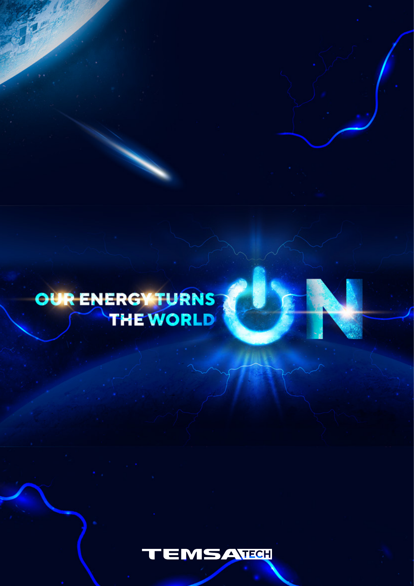

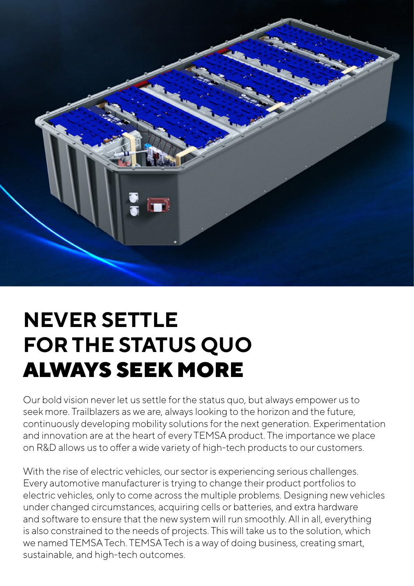

## **NEVER SETTLE FOR THE STATUS QUO** ALWAYS SEEK MORE

Our bold vision never let us settle for the status quo, but always empower us to seek more. Trailblazers as we are, always looking to the horizon and the future, continuously developing mobility solutions for the next generation. Experimentation and innovation are at the heart of every TEMSA product. The importance we place on R&D allows us to offer a wide variety of high-tech products to our customers.

With the rise of electric vehicles, our sector is experiencing serious challenges. Every automotive manufacturer is trying to change their product portfolios to electric vehicles, only to come across the multiple problems. Designing new vehicles under changed circumstances, acquiring cells or batteries, and extra hardware and software to ensure that the new system will run smoothly. All in all, everything is also constrained to the needs of projects. This will take us to the solution, which we named TEMSA Tech. TEMSA Tech is a way of doing business, creating smart, sustainable, and high-tech outcomes.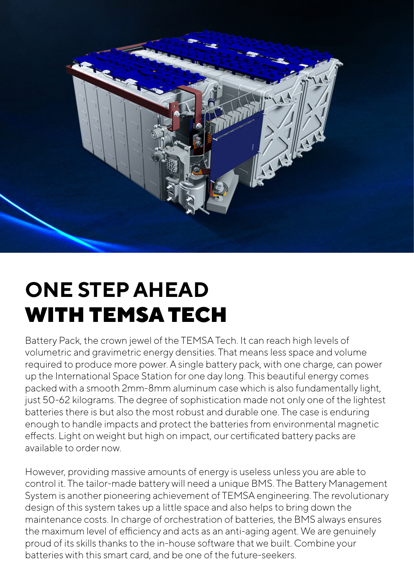

## **ONE STEP AHEAD** WITH TEMSA TECH

Battery Pack, the crown jewel of the TEMSA Tech. It can reach high levels of volumetric and gravimetric energy densities. That means less space and volume required to produce more power. A single battery pack, with one charge, can power up the International Space Station for one day long. This beautiful energy comes packed with a smooth 2mm-8mm aluminum case which is also fundamentally light, just 50-62 kilograms. The degree of sophistication made not only one of the lightest batteries there is but also the most robust and durable one. The case is enduring enough to handle impacts and protect the batteries from environmental magnetic effects. Light on weight but high on impact, our certificated battery packs are available to order now.

However, providing massive amounts of energy is useless unless you are able to control it. The tailor-made battery will need a unique BMS. The Battery Management System is another pioneering achievement of TEMSA engineering. The revolutionary design of this system takes up a little space and also helps to bring down the maintenance costs. In charge of orchestration of batteries, the BMS always ensures the maximum level of efficiency and acts as an anti-aging agent. We are genuinely proud of its skills thanks to the in-house software that we built. Combine your batteries with this smart card, and be one of the future-seekers.